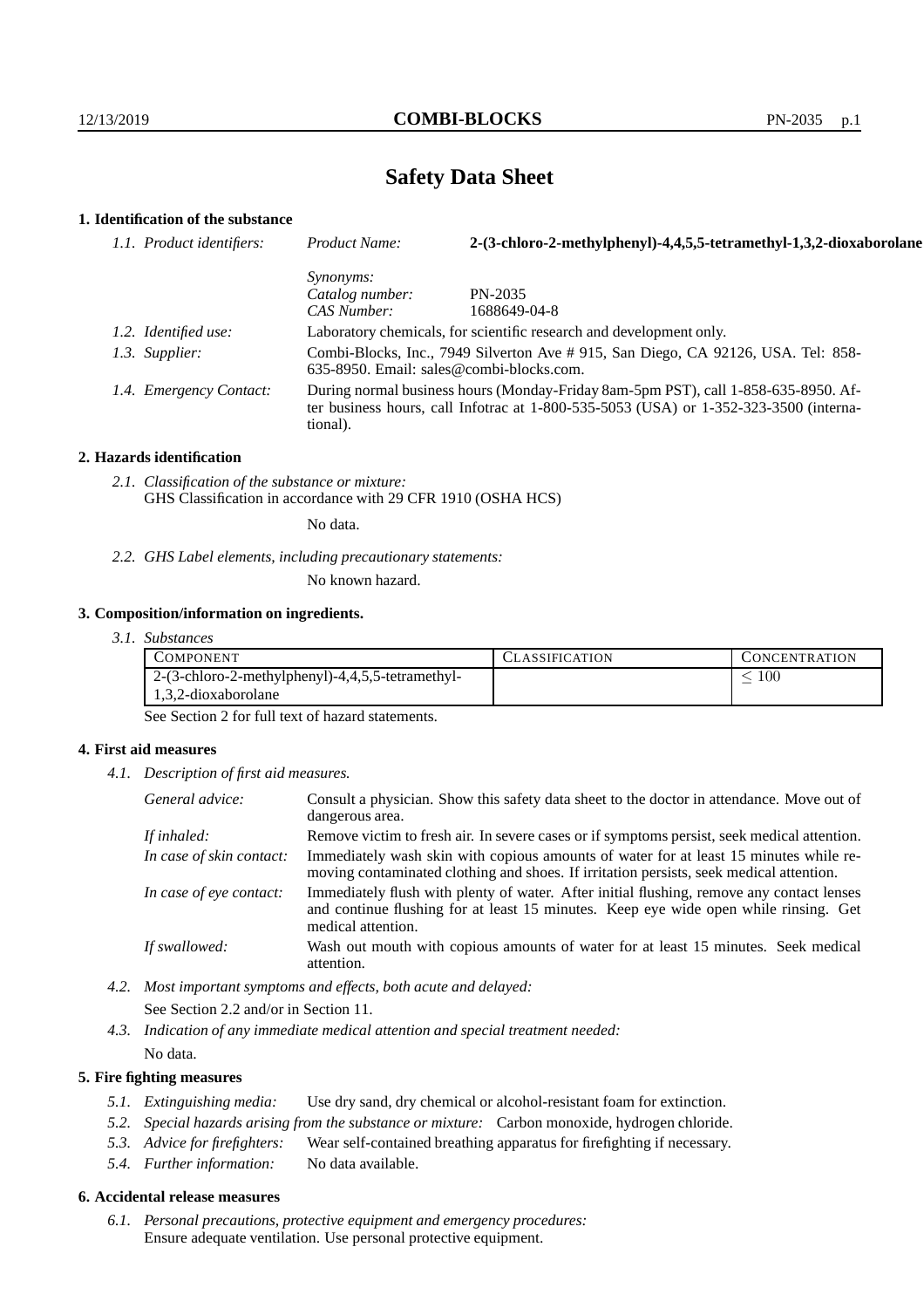# **Safety Data Sheet**

## **1. Identification of the substance**

| 1.1. Product identifiers: | Product Name:                                                                                                                                                                           | 2-(3-chloro-2-methylphenyl)-4,4,5,5-tetramethyl-1,3,2-dioxaborolane |
|---------------------------|-----------------------------------------------------------------------------------------------------------------------------------------------------------------------------------------|---------------------------------------------------------------------|
|                           | <i>Synonyms:</i>                                                                                                                                                                        |                                                                     |
|                           | Catalog number:                                                                                                                                                                         | PN-2035                                                             |
|                           | CAS Number:                                                                                                                                                                             | 1688649-04-8                                                        |
| 1.2. Identified use:      | Laboratory chemicals, for scientific research and development only.                                                                                                                     |                                                                     |
| 1.3. Supplier:            | Combi-Blocks, Inc., 7949 Silverton Ave # 915, San Diego, CA 92126, USA. Tel: 858-<br>$635-8950$ . Email: sales@combi-blocks.com.                                                        |                                                                     |
| 1.4. Emergency Contact:   | During normal business hours (Monday-Friday 8am-5pm PST), call 1-858-635-8950. Af-<br>ter business hours, call Infotrac at 1-800-535-5053 (USA) or 1-352-323-3500 (interna-<br>tional). |                                                                     |

## **2. Hazards identification**

*2.1. Classification of the substance or mixture:* GHS Classification in accordance with 29 CFR 1910 (OSHA HCS)

No data.

*2.2. GHS Label elements, including precautionary statements:*

No known hazard.

## **3. Composition/information on ingredients.**

*3.1. Substances*

| COMPONENT                                           | CLASSIFICATION | <b>CONCENTRATION</b> |
|-----------------------------------------------------|----------------|----------------------|
| $2-(3$ -chloro-2-methylphenyl)-4,4,5,5-tetramethyl- |                | 100                  |
| 1,3,2-dioxaborolane                                 |                |                      |

See Section 2 for full text of hazard statements.

## **4. First aid measures**

*4.1. Description of first aid measures.*

| General advice:          | Consult a physician. Show this safety data sheet to the doctor in attendance. Move out of<br>dangerous area.                                                                                            |
|--------------------------|---------------------------------------------------------------------------------------------------------------------------------------------------------------------------------------------------------|
| If inhaled:              | Remove victim to fresh air. In severe cases or if symptoms persist, seek medical attention.                                                                                                             |
| In case of skin contact: | Immediately wash skin with copious amounts of water for at least 15 minutes while re-<br>moving contaminated clothing and shoes. If irritation persists, seek medical attention.                        |
| In case of eye contact:  | Immediately flush with plenty of water. After initial flushing, remove any contact lenses<br>and continue flushing for at least 15 minutes. Keep eye wide open while rinsing. Get<br>medical attention. |
| If swallowed:            | Wash out mouth with copious amounts of water for at least 15 minutes. Seek medical<br>attention.                                                                                                        |

- *4.2. Most important symptoms and effects, both acute and delayed:* See Section 2.2 and/or in Section 11.
- *4.3. Indication of any immediate medical attention and special treatment needed:* No data.

## **5. Fire fighting measures**

- *5.1. Extinguishing media:* Use dry sand, dry chemical or alcohol-resistant foam for extinction.
- *5.2. Special hazards arising from the substance or mixture:* Carbon monoxide, hydrogen chloride.
- *5.3. Advice for firefighters:* Wear self-contained breathing apparatus for firefighting if necessary.
- *5.4. Further information:* No data available.

## **6. Accidental release measures**

*6.1. Personal precautions, protective equipment and emergency procedures:* Ensure adequate ventilation. Use personal protective equipment.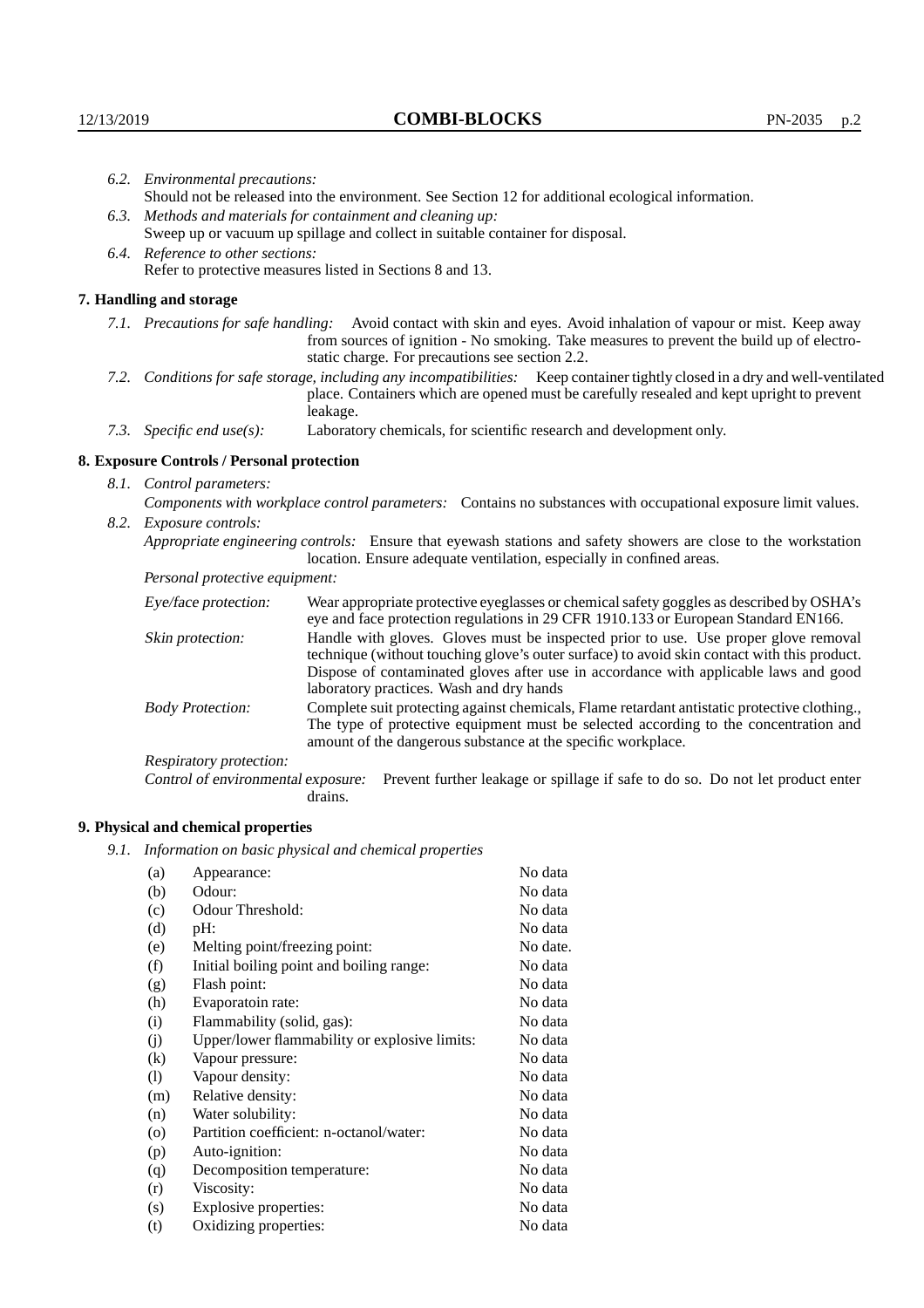| 6.2. Environmental precautions:   |                                                                                                                                                                                                                                                                    |                                                                                                                                                                                                                                                                                                                        |  |  |
|-----------------------------------|--------------------------------------------------------------------------------------------------------------------------------------------------------------------------------------------------------------------------------------------------------------------|------------------------------------------------------------------------------------------------------------------------------------------------------------------------------------------------------------------------------------------------------------------------------------------------------------------------|--|--|
|                                   | Should not be released into the environment. See Section 12 for additional ecological information.                                                                                                                                                                 |                                                                                                                                                                                                                                                                                                                        |  |  |
|                                   | 6.3. Methods and materials for containment and cleaning up:                                                                                                                                                                                                        |                                                                                                                                                                                                                                                                                                                        |  |  |
|                                   | Sweep up or vacuum up spillage and collect in suitable container for disposal.                                                                                                                                                                                     |                                                                                                                                                                                                                                                                                                                        |  |  |
| 6.4. Reference to other sections: |                                                                                                                                                                                                                                                                    |                                                                                                                                                                                                                                                                                                                        |  |  |
|                                   | Refer to protective measures listed in Sections 8 and 13.                                                                                                                                                                                                          |                                                                                                                                                                                                                                                                                                                        |  |  |
|                                   | 7. Handling and storage                                                                                                                                                                                                                                            |                                                                                                                                                                                                                                                                                                                        |  |  |
|                                   | 7.1. Precautions for safe handling: Avoid contact with skin and eyes. Avoid inhalation of vapour or mist. Keep away<br>from sources of ignition - No smoking. Take measures to prevent the build up of electro-<br>static charge. For precautions see section 2.2. |                                                                                                                                                                                                                                                                                                                        |  |  |
|                                   |                                                                                                                                                                                                                                                                    | 7.2. Conditions for safe storage, including any incompatibilities: Keep container tightly closed in a dry and well-ventilated<br>place. Containers which are opened must be carefully resealed and kept upright to prevent<br>leakage.                                                                                 |  |  |
|                                   | 7.3. Specific end $use(s)$ :                                                                                                                                                                                                                                       | Laboratory chemicals, for scientific research and development only.                                                                                                                                                                                                                                                    |  |  |
|                                   | 8. Exposure Controls / Personal protection                                                                                                                                                                                                                         |                                                                                                                                                                                                                                                                                                                        |  |  |
| 8.1. Control parameters:          |                                                                                                                                                                                                                                                                    |                                                                                                                                                                                                                                                                                                                        |  |  |
|                                   | Components with workplace control parameters: Contains no substances with occupational exposure limit values.                                                                                                                                                      |                                                                                                                                                                                                                                                                                                                        |  |  |
|                                   | 8.2. Exposure controls:                                                                                                                                                                                                                                            |                                                                                                                                                                                                                                                                                                                        |  |  |
|                                   |                                                                                                                                                                                                                                                                    | Appropriate engineering controls: Ensure that eyewash stations and safety showers are close to the workstation<br>location. Ensure adequate ventilation, especially in confined areas.                                                                                                                                 |  |  |
|                                   | Personal protective equipment:                                                                                                                                                                                                                                     |                                                                                                                                                                                                                                                                                                                        |  |  |
|                                   | Eye/face protection:                                                                                                                                                                                                                                               | Wear appropriate protective eyeglasses or chemical safety goggles as described by OSHA's<br>eye and face protection regulations in 29 CFR 1910.133 or European Standard EN166.                                                                                                                                         |  |  |
|                                   | Skin protection:                                                                                                                                                                                                                                                   | Handle with gloves. Gloves must be inspected prior to use. Use proper glove removal<br>technique (without touching glove's outer surface) to avoid skin contact with this product.<br>Dispose of contaminated gloves after use in accordance with applicable laws and good<br>laboratory practices. Wash and dry hands |  |  |
|                                   | <b>Body Protection:</b>                                                                                                                                                                                                                                            | Complete suit protecting against chemicals, Flame retardant antistatic protective clothing.,<br>The type of protective equipment must be selected according to the concentration and<br>amount of the dangerous substance at the specific workplace.                                                                   |  |  |
|                                   | Respiratory protection:                                                                                                                                                                                                                                            |                                                                                                                                                                                                                                                                                                                        |  |  |

Control of environmental exposure: Prevent further leakage or spillage if safe to do so. Do not let product enter drains.

# **9. Physical and chemical properties**

*9.1. Information on basic physical and chemical properties*

| (a)                        | Appearance:                                   | No data  |
|----------------------------|-----------------------------------------------|----------|
| (b)                        | Odour:                                        | No data  |
| (c)                        | Odour Threshold:                              | No data  |
| (d)                        | pH:                                           | No data  |
| (e)                        | Melting point/freezing point:                 | No date. |
| (f)                        | Initial boiling point and boiling range:      | No data  |
| (g)                        | Flash point:                                  | No data  |
| (h)                        | Evaporatoin rate:                             | No data  |
| (i)                        | Flammability (solid, gas):                    | No data  |
| (j)                        | Upper/lower flammability or explosive limits: | No data  |
| $\rm(k)$                   | Vapour pressure:                              | No data  |
| $\left( \mathrm{l}\right)$ | Vapour density:                               | No data  |
| (m)                        | Relative density:                             | No data  |
| (n)                        | Water solubility:                             | No data  |
| $\circ$                    | Partition coefficient: n-octanol/water:       | No data  |
| (p)                        | Auto-ignition:                                | No data  |
| (q)                        | Decomposition temperature:                    | No data  |
| (r)                        | Viscosity:                                    | No data  |
| (s)                        | Explosive properties:                         | No data  |
| (t)                        | Oxidizing properties:                         | No data  |